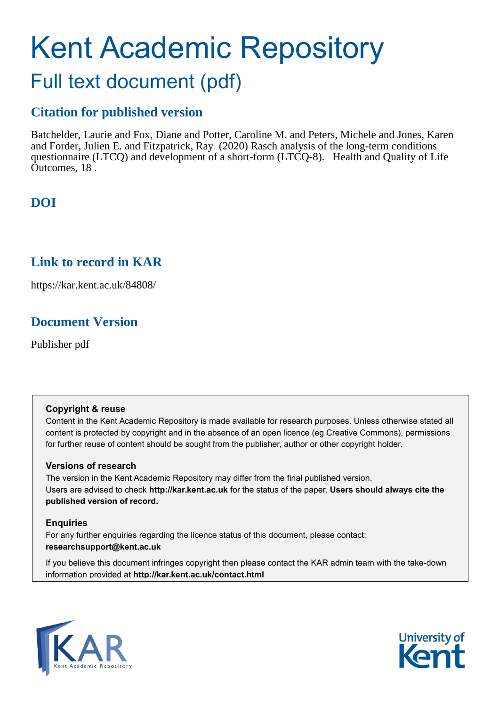# Kent Academic Repository Full text document (pdf)

### **Citation for published version**

Batchelder, Laurie and Fox, Diane and Potter, Caroline M. and Peters, Michele and Jones, Karen and Forder, Julien E. and Fitzpatrick, Ray (2020) Rasch analysis of the long-term conditions questionnaire (LTCQ) and development of a short-form (LTCQ-8). Health and Quality of Life Outcomes, 18 .

### **DOI**

### **Link to record in KAR**

https://kar.kent.ac.uk/84808/

### **Document Version**

Publisher pdf

### **Copyright & reuse**

Content in the Kent Academic Repository is made available for research purposes. Unless otherwise stated all content is protected by copyright and in the absence of an open licence (eg Creative Commons), permissions for further reuse of content should be sought from the publisher, author or other copyright holder.

### **Versions of research**

The version in the Kent Academic Repository may differ from the final published version. Users are advised to check **http://kar.kent.ac.uk** for the status of the paper. **Users should always cite the published version of record.**

### **Enquiries**

For any further enquiries regarding the licence status of this document, please contact: **researchsupport@kent.ac.uk**

If you believe this document infringes copyright then please contact the KAR admin team with the take-down information provided at **http://kar.kent.ac.uk/contact.html**



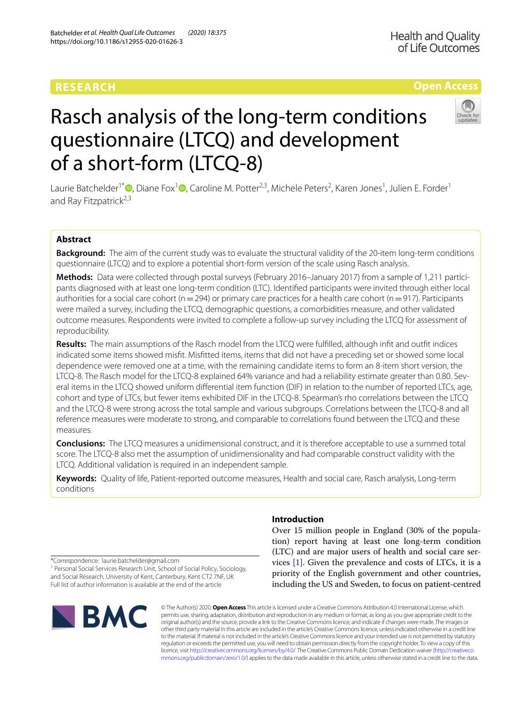#### **RESEARCH**

#### **Open Access**

## Rasch analysis of the long-term conditions questionnaire (LTCQ) and development of a short-form (LTCQ-8)

Laurie Batchelder<sup>1\*</sup>®[,](https://orcid.org/0000-0001-9144-3883) Diane Fox<sup>1</sup>®, Caroline M. Potter<sup>2,3</sup>, Michele Peters<sup>2</sup>, Karen Jones<sup>1</sup>, Julien E. Forder<sup>1</sup> and Ray Fitzpatrick<sup>2,3</sup>

#### **Abstract**

**Background:** The aim of the current study was to evaluate the structural validity of the 20-item long-term conditions questionnaire (LTCQ) and to explore a potential short-form version of the scale using Rasch analysis.

**Methods:** Data were collected through postal surveys (February 2016–January 2017) from a sample of 1,211 participants diagnosed with at least one long-term condition (LTC). Identifed participants were invited through either local authorities for a social care cohort ( $n=294$ ) or primary care practices for a health care cohort ( $n=917$ ). Participants were mailed a survey, including the LTCQ, demographic questions, a comorbidities measure, and other validated outcome measures. Respondents were invited to complete a follow-up survey including the LTCQ for assessment of reproducibility.

**Results:** The main assumptions of the Rasch model from the LTCQ were fulflled, although inft and outft indices indicated some items showed misft. Misftted items, items that did not have a preceding set or showed some local dependence were removed one at a time, with the remaining candidate items to form an 8-item short version, the LTCQ-8. The Rasch model for the LTCQ-8 explained 64% variance and had a reliability estimate greater than 0.80. Several items in the LTCQ showed uniform diferential item function (DIF) in relation to the number of reported LTCs, age, cohort and type of LTCs, but fewer items exhibited DIF in the LTCQ-8. Spearman's rho correlations between the LTCQ and the LTCQ-8 were strong across the total sample and various subgroups. Correlations between the LTCQ-8 and all reference measures were moderate to strong, and comparable to correlations found between the LTCQ and these measures.

**Conclusions:** The LTCQ measures a unidimensional construct, and it is therefore acceptable to use a summed total score. The LTCQ-8 also met the assumption of unidimensionality and had comparable construct validity with the LTCQ. Additional validation is required in an independent sample.

**Keywords:** Quality of life, Patient-reported outcome measures, Health and social care, Rasch analysis, Long-term conditions

\*Correspondence: laurie.batchelder@gmail.com

<sup>1</sup> Personal Social Services Research Unit, School of Social Policy, Sociology, and Social Research, University of Kent, Canterbury, Kent CT2 7NF, UK Full list of author information is available at the end of the article



#### **Introduction**

Over 15 million people in England (30% of the population) report having at least one long-term condition (LTC) and are major users of health and social care services [1]. Given the prevalence and costs of LTCs, it is a priority of the English government and other countries, including the US and Sweden, to focus on patient-centred

© The Author(s) 2020. **Open Access** This article is licensed under a Creative Commons Attribution 4.0 International License, which permits use, sharing, adaptation, distribution and reproduction in any medium or format, as long as you give appropriate credit to the original author(s) and the source, provide a link to the Creative Commons licence, and indicate if changes were made. The images or other third party material in this article are included in the article's Creative Commons licence, unless indicated otherwise in a credit line to the material. If material is not included in the article's Creative Commons licence and your intended use is not permitted by statutory regulation or exceeds the permitted use, you will need to obtain permission directly from the copyright holder. To view a copy of this licence, visit [http://creativecommons.org/licenses/by/4.0/.](http://creativecommons.org/licenses/by/4.0/) The Creative Commons Public Domain Dedication waiver ([http://creativeco](http://creativecommons.org/publicdomain/zero/1.0/) [mmons.org/publicdomain/zero/1.0/](http://creativecommons.org/publicdomain/zero/1.0/)) applies to the data made available in this article, unless otherwise stated in a credit line to the data.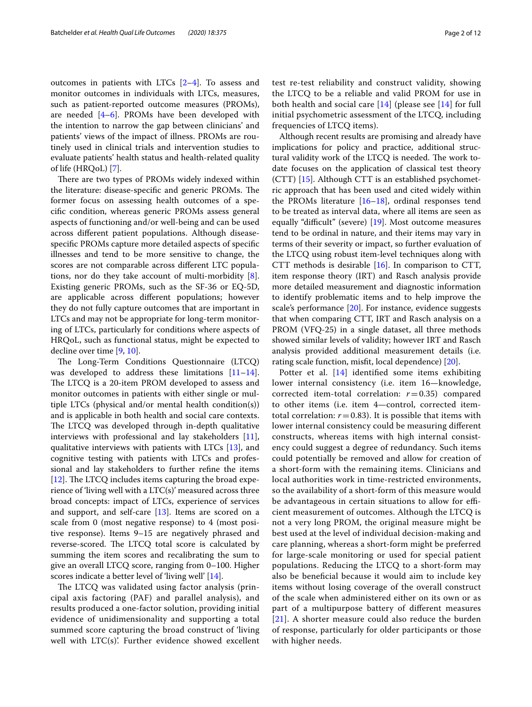outcomes in patients with LTCs [2–4]. To assess and monitor outcomes in individuals with LTCs, measures, such as patient-reported outcome measures (PROMs), are needed  $[4-6]$ . PROMs have been developed with the intention to narrow the gap between clinicians' and patients' views of the impact of illness. PROMs are routinely used in clinical trials and intervention studies to evaluate patients' health status and health-related quality of life (HRQoL) [7].

There are two types of PROMs widely indexed within the literature: disease-specific and generic PROMs. The former focus on assessing health outcomes of a specifc condition, whereas generic PROMs assess general aspects of functioning and/or well-being and can be used across diferent patient populations. Although diseasespecifc PROMs capture more detailed aspects of specifc illnesses and tend to be more sensitive to change, the scores are not comparable across diferent LTC populations, nor do they take account of multi-morbidity [8]. Existing generic PROMs, such as the SF-36 or EQ-5D, are applicable across diferent populations; however they do not fully capture outcomes that are important in LTCs and may not be appropriate for long-term monitoring of LTCs, particularly for conditions where aspects of HRQoL, such as functional status, might be expected to decline over time [9, 10].

The Long-Term Conditions Questionnaire (LTCQ) was developed to address these limitations  $[11-14]$ . The LTCQ is a 20-item PROM developed to assess and monitor outcomes in patients with either single or multiple LTCs (physical and/or mental health condition(s)) and is applicable in both health and social care contexts. The LTCQ was developed through in-depth qualitative interviews with professional and lay stakeholders [11], qualitative interviews with patients with LTCs [13], and cognitive testing with patients with LTCs and professional and lay stakeholders to further refne the items  $[12]$ . The LTCQ includes items capturing the broad experience of 'living well with a LTC(s)' measured across three broad concepts: impact of LTCs, experience of services and support, and self-care [13]. Items are scored on a scale from 0 (most negative response) to 4 (most positive response). Items 9–15 are negatively phrased and reverse-scored. The LTCQ total score is calculated by summing the item scores and recalibrating the sum to give an overall LTCQ score, ranging from 0–100. Higher scores indicate a better level of 'living well' [14].

The LTCQ was validated using factor analysis (principal axis factoring (PAF) and parallel analysis), and results produced a one-factor solution, providing initial evidence of unidimensionality and supporting a total summed score capturing the broad construct of 'living well with LTC(s)'. Further evidence showed excellent test re-test reliability and construct validity, showing the LTCQ to be a reliable and valid PROM for use in both health and social care [14] (please see [14] for full initial psychometric assessment of the LTCQ, including frequencies of LTCQ items).

Although recent results are promising and already have implications for policy and practice, additional structural validity work of the LTCQ is needed. The work todate focuses on the application of classical test theory (CTT) [15]. Although CTT is an established psychometric approach that has been used and cited widely within the PROMs literature  $[16–18]$ , ordinal responses tend to be treated as interval data, where all items are seen as equally "difficult" (severe)  $[19]$ . Most outcome measures tend to be ordinal in nature, and their items may vary in terms of their severity or impact, so further evaluation of the LTCQ using robust item-level techniques along with CTT methods is desirable [16]. In comparison to CTT, item response theory (IRT) and Rasch analysis provide more detailed measurement and diagnostic information to identify problematic items and to help improve the scale's performance [20]. For instance, evidence suggests that when comparing CTT, IRT and Rasch analysis on a PROM (VFQ-25) in a single dataset, all three methods showed similar levels of validity; however IRT and Rasch analysis provided additional measurement details (i.e. rating scale function, misft, local dependence) [20].

Potter et al. [14] identified some items exhibiting lower internal consistency (i.e. item 16—knowledge, corrected item-total correlation: *r*=0.35) compared to other items (i.e. item 4—control, corrected itemtotal correlation:  $r = 0.83$ ). It is possible that items with lower internal consistency could be measuring diferent constructs, whereas items with high internal consistency could suggest a degree of redundancy. Such items could potentially be removed and allow for creation of a short-form with the remaining items. Clinicians and local authorities work in time-restricted environments, so the availability of a short-form of this measure would be advantageous in certain situations to allow for efficient measurement of outcomes. Although the LTCQ is not a very long PROM, the original measure might be best used at the level of individual decision-making and care planning, whereas a short-form might be preferred for large-scale monitoring or used for special patient populations. Reducing the LTCQ to a short-form may also be benefcial because it would aim to include key items without losing coverage of the overall construct of the scale when administered either on its own or as part of a multipurpose battery of diferent measures [21]. A shorter measure could also reduce the burden of response, particularly for older participants or those with higher needs.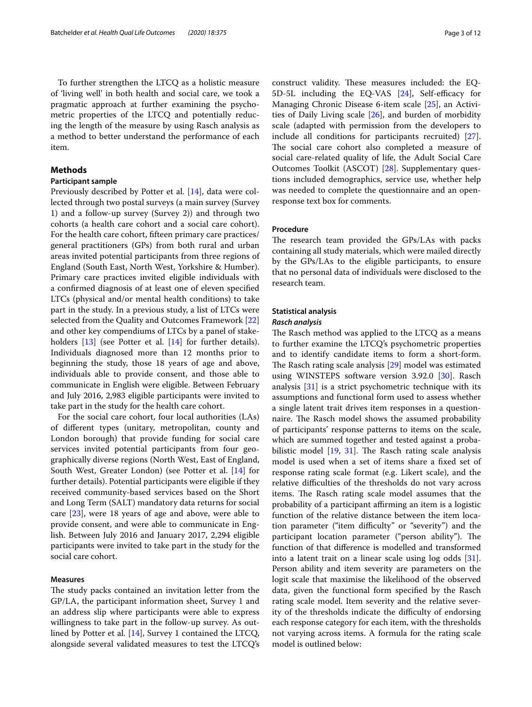To further strengthen the LTCQ as a holistic measure of 'living well' in both health and social care, we took a pragmatic approach at further examining the psychometric properties of the LTCQ and potentially reducing the length of the measure by using Rasch analysis as a method to better understand the performance of each item.

#### **Methods**

#### **Participant sample**

Previously described by Potter et al. [14], data were collected through two postal surveys (a main survey (Survey 1) and a follow-up survey (Survey 2)) and through two cohorts (a health care cohort and a social care cohort). For the health care cohort, ffteen primary care practices/ general practitioners (GPs) from both rural and urban areas invited potential participants from three regions of England (South East, North West, Yorkshire & Humber). Primary care practices invited eligible individuals with a confrmed diagnosis of at least one of eleven specifed LTCs (physical and/or mental health conditions) to take part in the study. In a previous study, a list of LTCs were selected from the Quality and Outcomes Framework [22] and other key compendiums of LTCs by a panel of stakeholders [13] (see Potter et al. [14] for further details). Individuals diagnosed more than 12 months prior to beginning the study, those 18 years of age and above, individuals able to provide consent, and those able to communicate in English were eligible. Between February and July 2016, 2,983 eligible participants were invited to take part in the study for the health care cohort.

For the social care cohort, four local authorities (LAs) of diferent types (unitary, metropolitan, county and London borough) that provide funding for social care services invited potential participants from four geographically diverse regions (North West, East of England, South West, Greater London) (see Potter et al. [14] for further details). Potential participants were eligible if they received community-based services based on the Short and Long Term (SALT) mandatory data returns for social care [23], were 18 years of age and above, were able to provide consent, and were able to communicate in English. Between July 2016 and January 2017, 2,294 eligible participants were invited to take part in the study for the social care cohort.

#### **Measures**

The study packs contained an invitation letter from the GP/LA, the participant information sheet, Survey 1 and an address slip where participants were able to express willingness to take part in the follow-up survey. As outlined by Potter et al. [14], Survey 1 contained the LTCQ, alongside several validated measures to test the LTCQ's construct validity. These measures included: the EQ-5D-5L including the EQ-VAS  $[24]$ , Self-efficacy for Managing Chronic Disease 6-item scale [25], an Activities of Daily Living scale [26], and burden of morbidity scale (adapted with permission from the developers to include all conditions for participants recruited) [27]. The social care cohort also completed a measure of social care-related quality of life, the Adult Social Care Outcomes Toolkit (ASCOT) [28]. Supplementary questions included demographics, service use, whether help was needed to complete the questionnaire and an openresponse text box for comments.

#### **Procedure**

The research team provided the GPs/LAs with packs containing all study materials, which were mailed directly by the GPs/LAs to the eligible participants, to ensure that no personal data of individuals were disclosed to the research team.

#### **Statistical analysis**

#### *Rasch analysis*

The Rasch method was applied to the LTCQ as a means to further examine the LTCQ's psychometric properties and to identify candidate items to form a short-form. The Rasch rating scale analysis  $[29]$  model was estimated using WINSTEPS software version 3.92.0 [30]. Rasch analysis [31] is a strict psychometric technique with its assumptions and functional form used to assess whether a single latent trait drives item responses in a questionnaire. The Rasch model shows the assumed probability of participants' response patterns to items on the scale, which are summed together and tested against a probabilistic model  $[19, 31]$ . The Rasch rating scale analysis model is used when a set of items share a fxed set of response rating scale format (e.g. Likert scale), and the relative difficulties of the thresholds do not vary across items. The Rasch rating scale model assumes that the probability of a participant affirming an item is a logistic function of the relative distance between the item location parameter ("item difficulty" or "severity") and the participant location parameter ("person ability"). The function of that diference is modelled and transformed into a latent trait on a linear scale using log odds [31]. Person ability and item severity are parameters on the logit scale that maximise the likelihood of the observed data, given the functional form specifed by the Rasch rating scale model. Item severity and the relative severity of the thresholds indicate the difficulty of endorsing each response category for each item, with the thresholds not varying across items. A formula for the rating scale model is outlined below: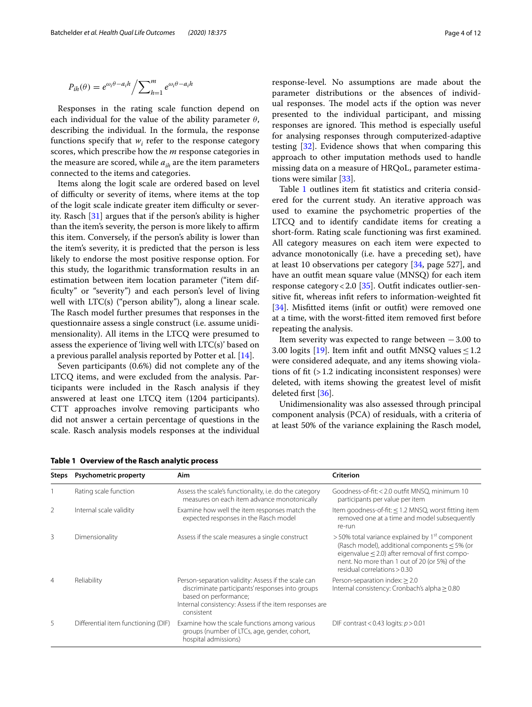$$
P_{ih}(\theta) = e^{\omega_i \theta - a_i h} / \sum_{h=1}^{m} e^{\omega_i \theta - a_i h}
$$

Responses in the rating scale function depend on each individual for the value of the ability parameter  $\theta$ , describing the individual. In the formula, the response functions specify that  $w_i$  refer to the response category scores, which prescribe how the *m* response categories in the measure are scored, while *aih* are the item parameters connected to the items and categories.

Items along the logit scale are ordered based on level of difculty or severity of items, where items at the top of the logit scale indicate greater item difficulty or severity. Rasch [31] argues that if the person's ability is higher than the item's severity, the person is more likely to affirm this item. Conversely, if the person's ability is lower than the item's severity, it is predicted that the person is less likely to endorse the most positive response option. For this study, the logarithmic transformation results in an estimation between item location parameter ("item diffculty" or "severity") and each person's level of living well with LTC(s) ("person ability"), along a linear scale. The Rasch model further presumes that responses in the questionnaire assess a single construct (i.e. assume unidimensionality). All items in the LTCQ were presumed to assess the experience of 'living well with LTC(s)' based on a previous parallel analysis reported by Potter et al. [14].

Seven participants (0.6%) did not complete any of the LTCQ items, and were excluded from the analysis. Participants were included in the Rasch analysis if they answered at least one LTCQ item (1204 participants). CTT approaches involve removing participants who did not answer a certain percentage of questions in the scale. Rasch analysis models responses at the individual response-level. No assumptions are made about the parameter distributions or the absences of individual responses. The model acts if the option was never presented to the individual participant, and missing responses are ignored. This method is especially useful for analysing responses through computerized-adaptive testing [32]. Evidence shows that when comparing this approach to other imputation methods used to handle missing data on a measure of HRQoL, parameter estimations were similar [33].

Table 1 outlines item fit statistics and criteria considered for the current study. An iterative approach was used to examine the psychometric properties of the LTCQ and to identify candidate items for creating a short-form. Rating scale functioning was frst examined. All category measures on each item were expected to advance monotonically (i.e. have a preceding set), have at least 10 observations per category [34, page 527], and have an outft mean square value (MNSQ) for each item response category < 2.0 [ $35$ ]. Outfit indicates outlier-sensitive ft, whereas inft refers to information-weighted ft [34]. Misfitted items (infit or outfit) were removed one at a time, with the worst-ftted item removed frst before repeating the analysis.

Item severity was expected to range between −3.00 to 3.00 logits [19]. Item infit and outfit MNSQ values  $\leq$  1.2 were considered adequate, and any items showing violations of fit  $(>1.2)$  indicating inconsistent responses) were deleted, with items showing the greatest level of misft deleted frst [36].

Unidimensionality was also assessed through principal component analysis (PCA) of residuals, with a criteria of at least 50% of the variance explaining the Rasch model,

| <b>Steps</b>   | <b>Psychometric property</b>        | <b>Aim</b>                                                                                                                                                                                               | Criterion                                                                                                                                                                                                                                                 |
|----------------|-------------------------------------|----------------------------------------------------------------------------------------------------------------------------------------------------------------------------------------------------------|-----------------------------------------------------------------------------------------------------------------------------------------------------------------------------------------------------------------------------------------------------------|
|                | Rating scale function               | Assess the scale's functionality, i.e. do the category<br>measures on each item advance monotonically                                                                                                    | Goodness-of-fit: < 2.0 outfit MNSQ, minimum 10<br>participants per value per item                                                                                                                                                                         |
| 2              | Internal scale validity             | Examine how well the item responses match the<br>expected responses in the Rasch model                                                                                                                   | Item goodness-of-fit: $\leq$ 1.2 MNSQ, worst fitting item<br>removed one at a time and model subsequently<br>re-run                                                                                                                                       |
| 3              | Dimensionality                      | Assess if the scale measures a single construct                                                                                                                                                          | $>$ 50% total variance explained by 1 <sup>st</sup> component<br>(Rasch model), additional components < 5% (or<br>eigenvalue $\leq$ 2.0) after removal of first compo-<br>nent. No more than 1 out of 20 (or 5%) of the<br>residual correlations $> 0.30$ |
| $\overline{4}$ | Reliability                         | Person-separation validity: Assess if the scale can<br>discriminate participants' responses into groups<br>based on performance;<br>Internal consistency: Assess if the item responses are<br>consistent | Person-separation index: > 2.0<br>Internal consistency: Cronbach's alpha > 0.80                                                                                                                                                                           |
| .5             | Differential item functioning (DIF) | Examine how the scale functions among various<br>groups (number of LTCs, age, gender, cohort,<br>hospital admissions)                                                                                    | DIF contrast < 0.43 logits: $p > 0.01$                                                                                                                                                                                                                    |

**Table 1 Overview of the Rasch analytic process**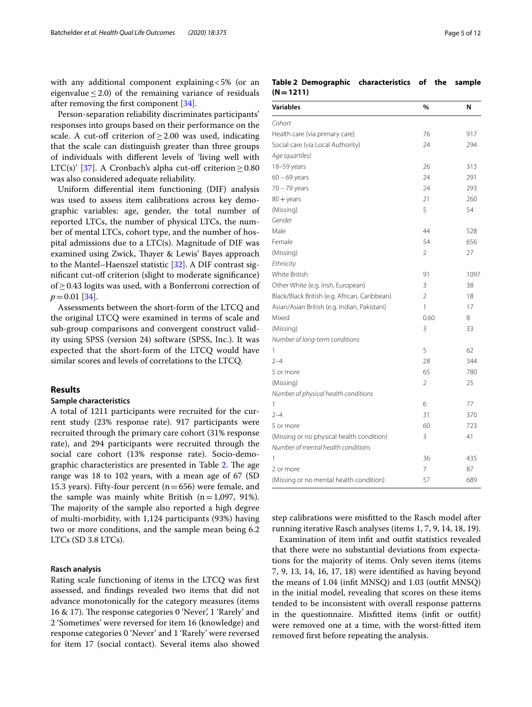with any additional component explaining<5% (or an eigenvalue  $\leq$  2.0) of the remaining variance of residuals after removing the frst component [34].

Person-separation reliability discriminates participants' responses into groups based on their performance on the scale. A cut-off criterion of  $\geq$  2.00 was used, indicating that the scale can distinguish greater than three groups of individuals with diferent levels of 'living well with LTC(s)' [37]. A Cronbach's alpha cut-off criterion  $\geq 0.80$ was also considered adequate reliability.

Uniform diferential item functioning (DIF) analysis was used to assess item calibrations across key demographic variables: age, gender, the total number of reported LTCs, the number of physical LTCs, the number of mental LTCs, cohort type, and the number of hospital admissions due to a LTC(s). Magnitude of DIF was examined using Zwick, Thayer & Lewis' Bayes approach to the Mantel–Haenszel statistic [32]. A DIF contrast significant cut-off criterion (slight to moderate significance) of≥0.43 logits was used, with a Bonferroni correction of  $p = 0.01$  [34].

Assessments between the short-form of the LTCQ and the original LTCQ were examined in terms of scale and sub-group comparisons and convergent construct validity using SPSS (version 24) software (SPSS, Inc.). It was expected that the short-form of the LTCQ would have similar scores and levels of correlations to the LTCQ.

#### **Results**

#### **Sample characteristics**

A total of 1211 participants were recruited for the current study (23% response rate). 917 participants were recruited through the primary care cohort (31% response rate), and 294 participants were recruited through the social care cohort (13% response rate). Socio-demographic characteristics are presented in Table 2. The age range was 18 to 102 years, with a mean age of 67 (SD 15.3 years). Fifty-four percent ( $n=656$ ) were female, and the sample was mainly white British  $(n=1,097, 91\%)$ . The majority of the sample also reported a high degree of multi-morbidity, with 1,124 participants (93%) having two or more conditions, and the sample mean being 6.2 LTCs (SD 3.8 LTCs).

#### **Rasch analysis**

Rating scale functioning of items in the LTCQ was frst assessed, and fndings revealed two items that did not advance monotonically for the category measures (items 16 & 17). The response categories 0 'Never', 1 'Rarely' and 2 'Sometimes' were reversed for item 16 (knowledge) and response categories 0 'Never' and 1 'Rarely' were reversed for item 17 (social contact). Several items also showed

#### **Table 2 Demographic characteristics of the sample (N=1211)**

| <b>Variables</b>                              | %              | N    |
|-----------------------------------------------|----------------|------|
| Cohort                                        |                |      |
| Health care (via primary care)                | 76             | 917  |
| Social care (via Local Authority)             | 24             | 294  |
| Age (quartiles)                               |                |      |
| 18-59 years                                   | 26             | 313  |
| $60 - 69$ years                               | 24             | 291  |
| 70 - 79 years                                 | 24             | 293  |
| $80 + \text{years}$                           | 21             | 260  |
| (Missing)                                     | 5              | 54   |
| Gender                                        |                |      |
| Male                                          | 44             | 528  |
| Female                                        | 54             | 656  |
| (Missing)                                     | $\overline{2}$ | 27   |
| Ethnicity                                     |                |      |
| <b>White British</b>                          | 91             | 1097 |
| Other White (e.g. Irish, European)            | 3              | 38   |
| Black/Black British (e.g. African, Caribbean) | $\overline{2}$ | 18   |
| Asian/Asian British (e.g. Indian, Pakistani)  | 1              | 17   |
| Mixed                                         | 0.60           | 8    |
| (Missing)                                     | 3              | 33   |
| Number of long-term conditions                |                |      |
| 1                                             | 5              | 62   |
| $2 - 4$                                       | 28             | 344  |
| 5 or more                                     | 65             | 780  |
| (Missing)                                     | 2              | 25   |
| Number of physical health conditions          |                |      |
| 1                                             | 6              | 77   |
| $2 - 4$                                       | 31             | 370  |
| 5 or more                                     | 60             | 723  |
| (Missing or no physical health condition)     | 3              | 41   |
| Number of mental health conditions            |                |      |
| 1                                             | 36             | 435  |
| 2 or more                                     | 7              | 87   |
| (Missing or no mental health condition)       | 57             | 689  |

step calibrations were misftted to the Rasch model after running iterative Rasch analyses (items 1, 7, 9, 14, 18, 19).

Examination of item inft and outft statistics revealed that there were no substantial deviations from expectations for the majority of items. Only seven items (items 7, 9, 13, 14, 16, 17, 18) were identifed as having beyond the means of 1.04 (inft MNSQ) and 1.03 (outft MNSQ) in the initial model, revealing that scores on these items tended to be inconsistent with overall response patterns in the questionnaire. Misftted items (inft or outft) were removed one at a time, with the worst-ftted item removed frst before repeating the analysis.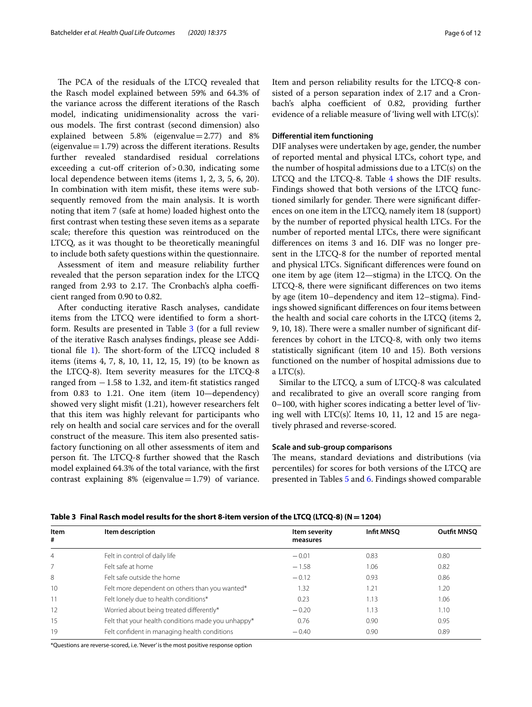The PCA of the residuals of the LTCQ revealed that the Rasch model explained between 59% and 64.3% of the variance across the diferent iterations of the Rasch model, indicating unidimensionality across the various models. The first contrast (second dimension) also explained between 5.8% (eigenvalue $=$  2.77) and 8% (eigenvalue $=1.79$ ) across the different iterations. Results further revealed standardised residual correlations exceeding a cut-off criterion of  $> 0.30$ , indicating some local dependence between items (items 1, 2, 3, 5, 6, 20). In combination with item misft, these items were subsequently removed from the main analysis. It is worth noting that item 7 (safe at home) loaded highest onto the frst contrast when testing these seven items as a separate scale; therefore this question was reintroduced on the LTCQ, as it was thought to be theoretically meaningful to include both safety questions within the questionnaire.

Assessment of item and measure reliability further revealed that the person separation index for the LTCQ ranged from 2.93 to 2.17. The Cronbach's alpha coefficient ranged from 0.90 to 0.82.

After conducting iterative Rasch analyses, candidate items from the LTCQ were identifed to form a shortform. Results are presented in Table 3 (for a full review of the iterative Rasch analyses fndings, please see Additional file  $1$ ). The short-form of the LTCQ included 8 items (items 4, 7, 8, 10, 11, 12, 15, 19) (to be known as the LTCQ-8). Item severity measures for the LTCQ-8 ranged from −1.58 to 1.32, and item-ft statistics ranged from 0.83 to 1.21. One item (item 10—dependency) showed very slight misft (1.21), however researchers felt that this item was highly relevant for participants who rely on health and social care services and for the overall construct of the measure. This item also presented satisfactory functioning on all other assessments of item and person fit. The LTCQ-8 further showed that the Rasch model explained 64.3% of the total variance, with the frst contrast explaining  $8\%$  (eigenvalue = 1.79) of variance. Item and person reliability results for the LTCQ-8 consisted of a person separation index of 2.17 and a Cronbach's alpha coefficient of 0.82, providing further evidence of a reliable measure of 'living well with LTC(s)'.

#### **Diferential item functioning**

DIF analyses were undertaken by age, gender, the number of reported mental and physical LTCs, cohort type, and the number of hospital admissions due to a LTC(s) on the LTCQ and the LTCQ-8. Table 4 shows the DIF results. Findings showed that both versions of the LTCQ functioned similarly for gender. There were significant differences on one item in the LTCQ, namely item 18 (support) by the number of reported physical health LTCs. For the number of reported mental LTCs, there were signifcant diferences on items 3 and 16. DIF was no longer present in the LTCQ-8 for the number of reported mental and physical LTCs. Signifcant diferences were found on one item by age (item 12—stigma) in the LTCQ. On the LTCQ-8, there were signifcant diferences on two items by age (item 10–dependency and item 12–stigma). Findings showed signifcant diferences on four items between the health and social care cohorts in the LTCQ (items 2, 9, 10, 18). There were a smaller number of significant differences by cohort in the LTCQ-8, with only two items statistically signifcant (item 10 and 15). Both versions functioned on the number of hospital admissions due to a  $LTC(s)$ .

Similar to the LTCQ, a sum of LTCQ-8 was calculated and recalibrated to give an overall score ranging from 0–100, with higher scores indicating a better level of 'living well with  $LTC(s)$ . Items 10, 11, 12 and 15 are negatively phrased and reverse-scored.

#### **Scale and sub‑group comparisons**

The means, standard deviations and distributions (via percentiles) for scores for both versions of the LTCQ are presented in Tables 5 and 6. Findings showed comparable

| Item<br>#      | Item description                                   | Item severity<br>measures | Infit MNSO | Outfit MNSO |
|----------------|----------------------------------------------------|---------------------------|------------|-------------|
| $\overline{4}$ | Felt in control of daily life                      | $-0.01$                   | 0.83       | 0.80        |
|                | Felt safe at home                                  | $-1.58$                   | 1.06       | 0.82        |
| 8              | Felt safe outside the home                         | $-0.12$                   | 0.93       | 0.86        |
| 10             | Felt more dependent on others than you wanted*     | 1.32                      | 1.21       | 1.20        |
| 11             | Felt lonely due to health conditions*              | 0.23                      | 1.13       | 1.06        |
| 12             | Worried about being treated differently*           | $-0.20$                   | 1.13       | 1.10        |
| 15             | Felt that your health conditions made you unhappy* | 0.76                      | 0.90       | 0.95        |
| 19             | Felt confident in managing health conditions       | $-0.40$                   | 0.90       | 0.89        |

**Table 3 Final Rasch model results for the short 8-item version of the LTCQ (LTCQ-8) (N=1204)**

\*Questions are reverse-scored, i.e. 'Never' is the most positive response option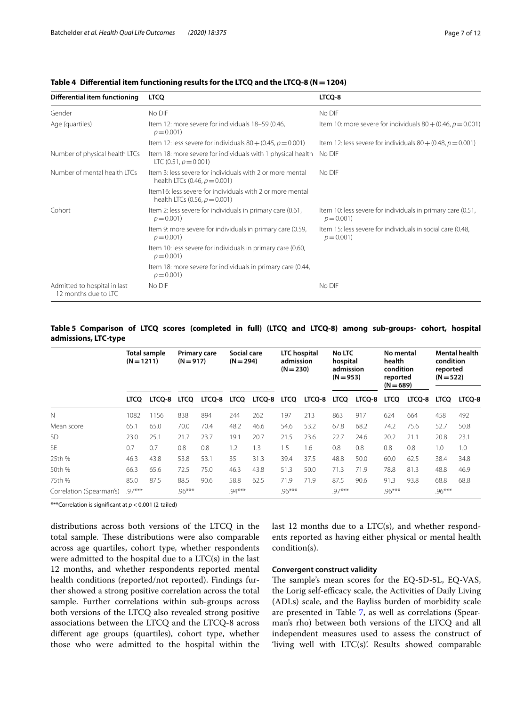#### **Table 4 Diferential item functioning results for the LTCQ and the LTCQ-8 (N=1204)**

| Differential item functioning                        | <b>LTCO</b>                                                                                   | LTCQ-8                                                                     |
|------------------------------------------------------|-----------------------------------------------------------------------------------------------|----------------------------------------------------------------------------|
| Gender                                               | No DIF                                                                                        | No DIF                                                                     |
| Age (quartiles)                                      | Item 12: more severe for individuals 18-59 (0.46,<br>$p = 0.001$                              | Item 10: more severe for individuals $80 + (0.46, p = 0.001)$              |
|                                                      | Item 12: less severe for individuals $80 + (0.45, p = 0.001)$                                 | Item 12: less severe for individuals $80 + (0.48, p = 0.001)$              |
| Number of physical health LTCs                       | Item 18: more severe for individuals with 1 physical health<br>LTC $(0.51, p = 0.001)$        | No DIF                                                                     |
| Number of mental health ITCs                         | Item 3: less severe for individuals with 2 or more mental<br>health LTCs (0.46, $p = 0.001$ ) | No DIF                                                                     |
|                                                      | Item16: less severe for individuals with 2 or more mental<br>health LTCs (0.56, $p = 0.001$ ) |                                                                            |
| Cohort                                               | Item 2: less severe for individuals in primary care (0.61,<br>$p = 0.001$                     | Item 10: less severe for individuals in primary care (0.51,<br>$p = 0.001$ |
|                                                      | Item 9: more severe for individuals in primary care (0.59,<br>$p = 0.001$                     | Item 15: less severe for individuals in social care (0.48,<br>$p = 0.001$  |
|                                                      | Item 10: less severe for individuals in primary care (0.60,<br>$p = 0.001$                    |                                                                            |
|                                                      | Item 18: more severe for individuals in primary care (0.44,<br>$p = 0.001$                    |                                                                            |
| Admitted to hospital in last<br>12 months due to LTC | No DIF                                                                                        | No DIF                                                                     |

#### **Table 5 Comparison of LTCQ scores (completed in full) (LTCQ and LTCQ-8) among sub-groups- cohort, hospital admissions, LTC-type**

|                          | Total sample<br>$(N = 1211)$ |        | <b>Primary care</b><br>$(N = 917)$ |        | Social care<br>$(N = 294)$ |        | <b>LTC</b> hospital<br>admission<br>$(N = 230)$ |        | <b>No LTC</b><br>hospital<br>admission<br>$(N = 953)$ |        | No mental<br>health<br>condition<br>reported<br>$(N = 689)$ |        | <b>Mental health</b><br>condition<br>reported<br>$(N = 522)$ |        |
|--------------------------|------------------------------|--------|------------------------------------|--------|----------------------------|--------|-------------------------------------------------|--------|-------------------------------------------------------|--------|-------------------------------------------------------------|--------|--------------------------------------------------------------|--------|
|                          | <b>LTCO</b>                  | LTCO-8 | <b>LTCO</b>                        | LTCO-8 | <b>LTCO</b>                | LTCO-8 | <b>LTCO</b>                                     | LTCO-8 | <b>LTCO</b>                                           | LTCO-8 | <b>LTCO</b>                                                 | LTCO-8 | <b>LTCO</b>                                                  | LTCO-8 |
| N                        | 1082                         | 156    | 838                                | 894    | 244                        | 262    | 197                                             | 213    | 863                                                   | 917    | 624                                                         | 664    | 458                                                          | 492    |
| Mean score               | 65.1                         | 65.0   | 70.0                               | 70.4   | 48.2                       | 46.6   | 54.6                                            | 53.2   | 67.8                                                  | 68.2   | 74.2                                                        | 75.6   | 52.7                                                         | 50.8   |
| <b>SD</b>                | 23.0                         | 25.1   | 21.7                               | 23.7   | 19.1                       | 20.7   | 21.5                                            | 23.6   | 22.7                                                  | 24.6   | 20.2                                                        | 21.1   | 20.8                                                         | 23.1   |
| <b>SF</b>                | 0.7                          | 0.7    | 0.8                                | 0.8    | 1.2                        | 1.3    | 1.5                                             | 1.6    | 0.8                                                   | 0.8    | 0.8                                                         | 0.8    | 1.0                                                          | 1.0    |
| 25th %                   | 46.3                         | 43.8   | 53.8                               | 53.1   | 35                         | 31.3   | 39.4                                            | 37.5   | 48.8                                                  | 50.0   | 60.0                                                        | 62.5   | 38.4                                                         | 34.8   |
| 50th %                   | 66.3                         | 65.6   | 72.5                               | 75.0   | 46.3                       | 43.8   | 51.3                                            | 50.0   | 71.3                                                  | 71.9   | 78.8                                                        | 81.3   | 48.8                                                         | 46.9   |
| 75th %                   | 85.0                         | 87.5   | 88.5                               | 90.6   | 58.8                       | 62.5   | 71.9                                            | 71.9   | 87.5                                                  | 90.6   | 91.3                                                        | 93.8   | 68.8                                                         | 68.8   |
| Correlation (Spearman's) | .97***                       |        | $.96***$                           |        | $.94***$                   |        | $.96***$                                        |        | $97***$                                               |        | $.96***$                                                    |        | $.96***$                                                     |        |

\*\*\*Correlation is signifcant at *p* < 0.001 (2-tailed)

distributions across both versions of the LTCQ in the total sample. These distributions were also comparable across age quartiles, cohort type, whether respondents were admitted to the hospital due to a  $LTC(s)$  in the last 12 months, and whether respondents reported mental health conditions (reported/not reported). Findings further showed a strong positive correlation across the total sample. Further correlations within sub-groups across both versions of the LTCQ also revealed strong positive associations between the LTCQ and the LTCQ-8 across diferent age groups (quartiles), cohort type, whether those who were admitted to the hospital within the last 12 months due to a LTC(s), and whether respondents reported as having either physical or mental health condition(s).

#### **Convergent construct validity**

The sample's mean scores for the EQ-5D-5L, EQ-VAS, the Lorig self-efficacy scale, the Activities of Daily Living (ADLs) scale, and the Bayliss burden of morbidity scale are presented in Table 7, as well as correlations (Spearman's rho) between both versions of the LTCQ and all independent measures used to assess the construct of 'living well with LTC(s)'. Results showed comparable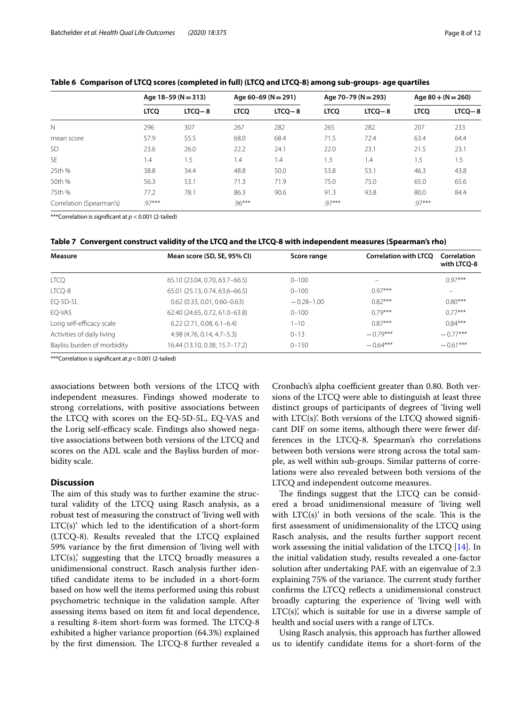|                          | Age $18-59$ (N = 313) |            | Age $60-69$ (N = 291) |            | Age 70-79 ( $N = 293$ ) |            | Age $80 + (N = 260)$ |            |
|--------------------------|-----------------------|------------|-----------------------|------------|-------------------------|------------|----------------------|------------|
|                          | <b>LTCO</b>           | $LTCQ - 8$ | <b>LTCO</b>           | $LTCO - 8$ | <b>LTCO</b>             | $LTCO - 8$ | <b>LTCQ</b>          | $LTCQ - 8$ |
| N                        | 296                   | 307        | 267                   | 282        | 265                     | 282        | 207                  | 233        |
| mean score               | 57.9                  | 55.5       | 68.0                  | 68.4       | 71.5                    | 72.4       | 63.4                 | 64.4       |
| <b>SD</b>                | 23.6                  | 26.0       | 22.2                  | 24.1       | 22.0                    | 23.1       | 21.5                 | 23.1       |
| <b>SE</b>                | 1.4                   | 1.5        | 1.4                   | 1.4        | 1.3                     | 1.4        | 1.5                  | 1.5        |
| 25th %                   | 38.8                  | 34.4       | 48.8                  | 50.0       | 53.8                    | 53.1       | 46.3                 | 43.8       |
| 50th %                   | 56.3                  | 53.1       | 71.3                  | 71.9       | 75.0                    | 75.0       | 65.0                 | 65.6       |
| 75th %                   | 77.2                  | 78.1       | 86.3                  | 90.6       | 91.3                    | 93.8       | 80.0                 | 84.4       |
| Correlation (Spearman's) | $.97***$              |            | $.96***$              |            | $.97***$                |            | $.97***$             |            |

\*\*\*Correlation is signifcant at *p* < 0.001 (2-tailed)

|  | Table 7 Convergent construct validity of the LTCQ and the LTCQ-8 with independent measures (Spearman's rho) |  |
|--|-------------------------------------------------------------------------------------------------------------|--|
|  |                                                                                                             |  |

| Measure                     | Mean score (SD, SE, 95% CI)    | Score range    | <b>Correlation with LTCQ</b> | Correlation<br>with LTCQ-8 |
|-----------------------------|--------------------------------|----------------|------------------------------|----------------------------|
| <b>LTCQ</b>                 | 65.10 (23.04, 0.70, 63.7–66.5) | $0 - 100$      |                              | $0.97***$                  |
| LTCQ-8                      | 65.01 (25.13, 0.74, 63.6–66.5) | $0 - 100$      | $0.97***$                    | $\equiv$                   |
| EQ-5D-5L                    | $0.62$ (0.33, 0.01, 0.60-0.63) | $-0.28 - 1.00$ | $0.82***$                    | $0.80***$                  |
| EQ-VAS                      | 62.40 (24.65, 0.72, 61.0–63.8) | $0 - 100$      | $0.79***$                    | $0.77***$                  |
| Lorig self-efficacy scale   | $6.22$ (2.71, 0.08, 6.1–6.4)   | $1 - 10$       | $0.87***$                    | $0.84***$                  |
| Activities of daily living  | $4.98$ (4.76, 0.14, 4.7–5.3)   | $0 - 13$       | $-0.79***$                   | $-0.77***$                 |
| Bayliss burden of morbidity | 16.44 (13.10, 0.38, 15.7-17.2) | $0 - 150$      | $-0.64***$                   | $-0.61***$                 |

\*\*\*Correlation is signifcant at *p*<0.001 (2-tailed)

associations between both versions of the LTCQ with independent measures. Findings showed moderate to strong correlations, with positive associations between the LTCQ with scores on the EQ-5D-5L, EQ-VAS and the Lorig self-efficacy scale. Findings also showed negative associations between both versions of the LTCQ and scores on the ADL scale and the Bayliss burden of morbidity scale.

#### **Discussion**

The aim of this study was to further examine the structural validity of the LTCQ using Rasch analysis, as a robust test of measuring the construct of 'living well with  $LTC(s)$ ' which led to the identification of a short-form (LTCQ-8). Results revealed that the LTCQ explained 59% variance by the frst dimension of 'living well with  $LTC(s)$ , suggesting that the LTCQ broadly measures a unidimensional construct. Rasch analysis further identifed candidate items to be included in a short-form based on how well the items performed using this robust psychometric technique in the validation sample. After assessing items based on item ft and local dependence, a resulting 8-item short-form was formed. The LTCQ-8 exhibited a higher variance proportion (64.3%) explained by the first dimension. The LTCQ-8 further revealed a

Cronbach's alpha coefficient greater than 0.80. Both versions of the LTCQ were able to distinguish at least three distinct groups of participants of degrees of 'living well with  $LTC(s)$ . Both versions of the  $LTCQ$  showed significant DIF on some items, although there were fewer differences in the LTCQ-8. Spearman's rho correlations between both versions were strong across the total sample, as well within sub-groups. Similar patterns of correlations were also revealed between both versions of the LTCQ and independent outcome measures.

The findings suggest that the LTCQ can be considered a broad unidimensional measure of 'living well with  $LTC(s)$ ' in both versions of the scale. This is the frst assessment of unidimensionality of the LTCQ using Rasch analysis, and the results further support recent work assessing the initial validation of the LTCQ [14]. In the initial validation study, results revealed a one-factor solution after undertaking PAF, with an eigenvalue of 2.3 explaining 75% of the variance. The current study further confrms the LTCQ refects a unidimensional construct broadly capturing the experience of 'living well with  $LTC(s)$ , which is suitable for use in a diverse sample of health and social users with a range of LTCs.

Using Rasch analysis, this approach has further allowed us to identify candidate items for a short-form of the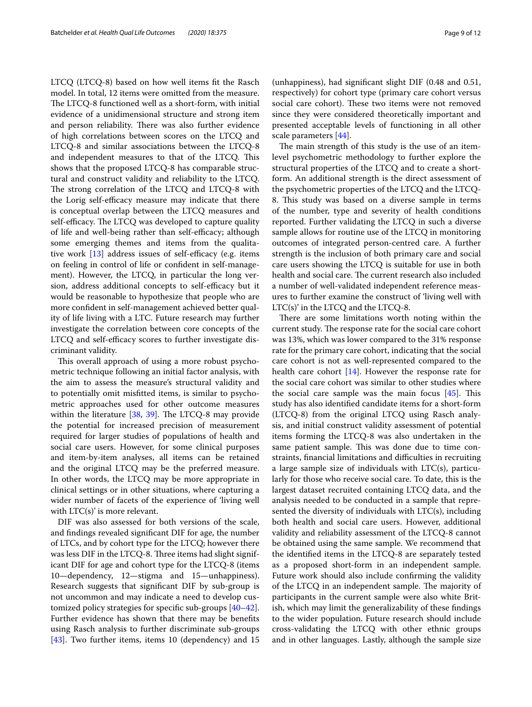LTCQ (LTCQ-8) based on how well items ft the Rasch model. In total, 12 items were omitted from the measure. The LTCQ-8 functioned well as a short-form, with initial evidence of a unidimensional structure and strong item and person reliability. There was also further evidence of high correlations between scores on the LTCQ and LTCQ-8 and similar associations between the LTCQ-8 and independent measures to that of the LTCQ. This shows that the proposed LTCQ-8 has comparable structural and construct validity and reliability to the LTCQ. The strong correlation of the LTCQ and LTCQ-8 with the Lorig self-efficacy measure may indicate that there is conceptual overlap between the LTCQ measures and self-efficacy. The LTCQ was developed to capture quality of life and well-being rather than self-efficacy; although some emerging themes and items from the qualitative work  $[13]$  address issues of self-efficacy (e.g. items on feeling in control of life or confdent in self-management). However, the LTCQ, in particular the long version, address additional concepts to self-efficacy but it would be reasonable to hypothesize that people who are more confdent in self-management achieved better quality of life living with a LTC. Future research may further investigate the correlation between core concepts of the LTCQ and self-efficacy scores to further investigate discriminant validity.

This overall approach of using a more robust psychometric technique following an initial factor analysis, with the aim to assess the measure's structural validity and to potentially omit misftted items, is similar to psychometric approaches used for other outcome measures within the literature  $[38, 39]$ . The LTCQ-8 may provide the potential for increased precision of measurement required for larger studies of populations of health and social care users. However, for some clinical purposes and item-by-item analyses, all items can be retained and the original LTCQ may be the preferred measure. In other words, the LTCQ may be more appropriate in clinical settings or in other situations, where capturing a wider number of facets of the experience of 'living well with LTC(s)' is more relevant.

DIF was also assessed for both versions of the scale, and fndings revealed signifcant DIF for age, the number of LTCs, and by cohort type for the LTCQ; however there was less DIF in the LTCQ-8. Three items had slight significant DIF for age and cohort type for the LTCQ-8 (items 10—dependency, 12—stigma and 15—unhappiness). Research suggests that signifcant DIF by sub-group is not uncommon and may indicate a need to develop customized policy strategies for specifc sub-groups [40–42]. Further evidence has shown that there may be benefts using Rasch analysis to further discriminate sub-groups [43]. Two further items, items 10 (dependency) and 15

(unhappiness), had signifcant slight DIF (0.48 and 0.51, respectively) for cohort type (primary care cohort versus social care cohort). These two items were not removed since they were considered theoretically important and presented acceptable levels of functioning in all other scale parameters [44].

The main strength of this study is the use of an itemlevel psychometric methodology to further explore the structural properties of the LTCQ and to create a shortform. An additional strength is the direct assessment of the psychometric properties of the LTCQ and the LTCQ-8. This study was based on a diverse sample in terms of the number, type and severity of health conditions reported. Further validating the LTCQ in such a diverse sample allows for routine use of the LTCQ in monitoring outcomes of integrated person-centred care. A further strength is the inclusion of both primary care and social care users showing the LTCQ is suitable for use in both health and social care. The current research also included a number of well-validated independent reference measures to further examine the construct of 'living well with  $LTC(s)$ ' in the  $LTCQ$  and the  $LTCQ-8$ .

There are some limitations worth noting within the current study. The response rate for the social care cohort was 13%, which was lower compared to the 31% response rate for the primary care cohort, indicating that the social care cohort is not as well-represented compared to the health care cohort [14]. However the response rate for the social care cohort was similar to other studies where the social care sample was the main focus  $[45]$ . This study has also identifed candidate items for a short-form (LTCQ-8) from the original LTCQ using Rasch analysis, and initial construct validity assessment of potential items forming the LTCQ-8 was also undertaken in the same patient sample. This was done due to time constraints, financial limitations and difficulties in recruiting a large sample size of individuals with LTC(s), particularly for those who receive social care. To date, this is the largest dataset recruited containing LTCQ data, and the analysis needed to be conducted in a sample that represented the diversity of individuals with LTC(s), including both health and social care users. However, additional validity and reliability assessment of the LTCQ-8 cannot be obtained using the same sample. We recommend that the identifed items in the LTCQ-8 are separately tested as a proposed short-form in an independent sample. Future work should also include confrming the validity of the LTCQ in an independent sample. The majority of participants in the current sample were also white British, which may limit the generalizability of these fndings to the wider population. Future research should include cross-validating the LTCQ with other ethnic groups and in other languages. Lastly, although the sample size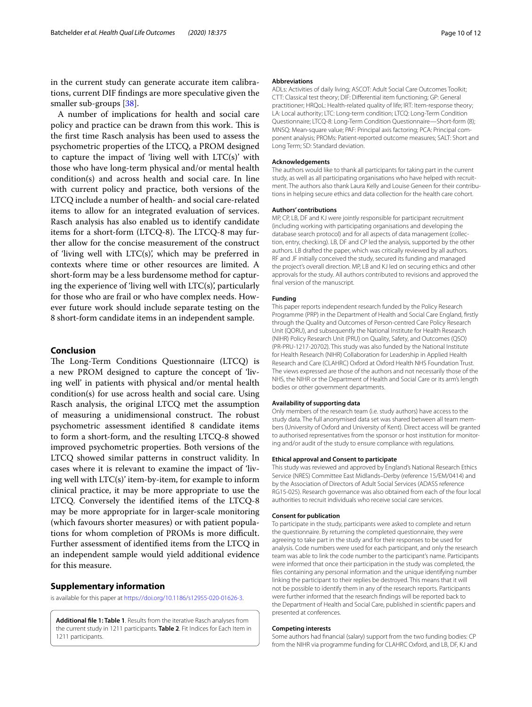in the current study can generate accurate item calibrations, current DIF fndings are more speculative given the smaller sub-groups [38].

A number of implications for health and social care policy and practice can be drawn from this work. This is the frst time Rasch analysis has been used to assess the psychometric properties of the LTCQ, a PROM designed to capture the impact of 'living well with LTC(s)' with those who have long-term physical and/or mental health condition(s) and across health and social care. In line with current policy and practice, both versions of the LTCQ include a number of health- and social care-related items to allow for an integrated evaluation of services. Rasch analysis has also enabled us to identify candidate items for a short-form  $(LTCQ-8)$ . The  $LTCQ-8$  may further allow for the concise measurement of the construct of 'living well with  $LTC(s)$ ', which may be preferred in contexts where time or other resources are limited. A short-form may be a less burdensome method for capturing the experience of 'living well with  $LTC(s)$ ', particularly for those who are frail or who have complex needs. However future work should include separate testing on the 8 short-form candidate items in an independent sample.

#### **Conclusion**

The Long-Term Conditions Questionnaire (LTCQ) is a new PROM designed to capture the concept of 'living well' in patients with physical and/or mental health condition(s) for use across health and social care. Using Rasch analysis, the original LTCQ met the assumption of measuring a unidimensional construct. The robust psychometric assessment identifed 8 candidate items to form a short-form, and the resulting LTCQ-8 showed improved psychometric properties. Both versions of the LTCQ showed similar patterns in construct validity. In cases where it is relevant to examine the impact of 'living well with LTC(s)' item-by-item, for example to inform clinical practice, it may be more appropriate to use the LTCQ. Conversely the identifed items of the LTCQ-8 may be more appropriate for in larger-scale monitoring (which favours shorter measures) or with patient populations for whom completion of PROMs is more difficult. Further assessment of identifed items from the LTCQ in an independent sample would yield additional evidence for this measure.

#### **Supplementary information**

is available for this paper at [https://doi.org/10.1186/s12955-020-01626-3.](https://doi.org/10.1186/s12955-020-01626-3)

**Additional fle 1: Table 1**. Results from the iterative Rasch analyses from the current study in 1211 participants. **Table 2**. Fit Indices for Each Item in 1211 participants.

#### **Abbreviations**

ADLs: Activities of daily living; ASCOT: Adult Social Care Outcomes Toolkit; CTT: Classical test theory; DIF: Diferential item functioning; GP: General practitioner; HRQoL: Health-related quality of life; IRT: Item-response theory; LA: Local authority; LTC: Long-term condition; LTCQ: Long-Term Condition Questionnaire; LTCQ-8: Long-Term Condition Questionnaire—Short-form (8); MNSQ: Mean-square value; PAF: Principal axis factoring; PCA: Principal component analysis; PROMs: Patient-reported outcome measures; SALT: Short and Long Term; SD: Standard deviation.

#### **Acknowledgements**

The authors would like to thank all participants for taking part in the current study, as well as all participating organisations who have helped with recruitment. The authors also thank Laura Kelly and Louise Geneen for their contributions in helping secure ethics and data collection for the health care cohort.

#### **Authors' contributions**

MP, CP, LB, DF and KJ were jointly responsible for participant recruitment (including working with participating organisations and developing the database search protocol) and for all aspects of data management (collection, entry, checking). LB, DF and CP led the analysis, supported by the other authors. LB drafted the paper, which was critically reviewed by all authors. RF and JF initially conceived the study, secured its funding and managed the project's overall direction. MP, LB and KJ led on securing ethics and other approvals for the study. All authors contributed to revisions and approved the fnal version of the manuscript.

#### **Funding**

This paper reports independent research funded by the Policy Research Programme (PRP) in the Department of Health and Social Care England, frstly through the Quality and Outcomes of Person-centred Care Policy Research Unit (QORU), and subsequently the National Institute for Health Research (NIHR) Policy Research Unit (PRU) on Quality, Safety, and Outcomes (QSO) (PR-PRU-1217-20702). This study was also funded by the National Institute for Health Research (NIHR) Collaboration for Leadership in Applied Health Research and Care (CLAHRC) Oxford at Oxford Health NHS Foundation Trust. The views expressed are those of the authors and not necessarily those of the NHS, the NIHR or the Department of Health and Social Care or its arm's length bodies or other government departments.

#### **Availability of supporting data**

Only members of the research team (i.e. study authors) have access to the study data. The full anonymised data set was shared between all team members (University of Oxford and University of Kent). Direct access will be granted to authorised representatives from the sponsor or host institution for monitoring and/or audit of the study to ensure compliance with regulations.

#### **Ethical approval and Consent to participate**

This study was reviewed and approved by England's National Research Ethics Service (NRES) Committee East Midlands–Derby (reference 15/EM/0414) and by the Association of Directors of Adult Social Services (ADASS reference RG15-025). Research governance was also obtained from each of the four local authorities to recruit individuals who receive social care services.

#### **Consent for publication**

To participate in the study, participants were asked to complete and return the questionnaire. By returning the completed questionnaire, they were agreeing to take part in the study and for their responses to be used for analysis. Code numbers were used for each participant, and only the research team was able to link the code number to the participant's name. Participants were informed that once their participation in the study was completed, the fles containing any personal information and the unique identifying number linking the participant to their replies be destroyed. This means that it will not be possible to identify them in any of the research reports. Participants were further informed that the research fndings will be reported back to the Department of Health and Social Care, published in scientifc papers and presented at conferences.

#### **Competing interests**

Some authors had fnancial (salary) support from the two funding bodies: CP from the NIHR via programme funding for CLAHRC Oxford, and LB, DF, KJ and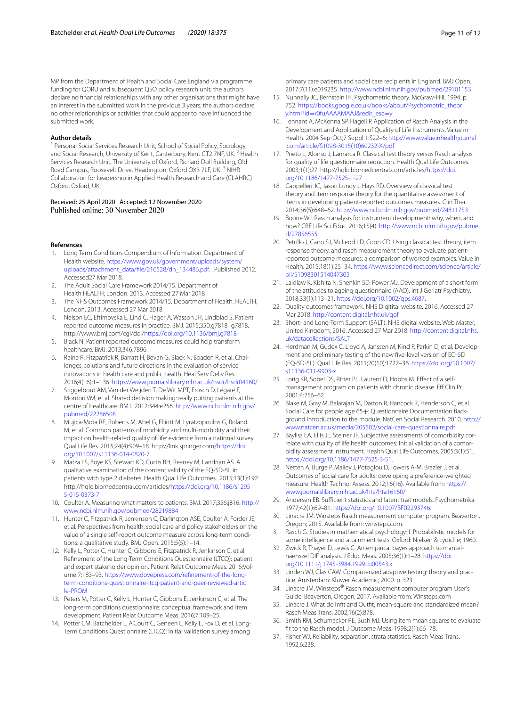MP from the Department of Health and Social Care England via programme funding for QORU and subsequent QSO policy research unit; the authors declare no fnancial relationships with any other organisations that might have an interest in the submitted work in the previous 3 years; the authors declare no other relationships or activities that could appear to have infuenced the submitted work.

#### **Author details**

<sup>1</sup> Personal Social Services Research Unit, School of Social Policy, Sociology, and Social Research, University of Kent, Canterbury, Kent CT2 7NF, UK.<sup>2</sup> Health Services Research Unit, The University of Oxford, Richard Doll Building, Old Road Campus, Roosevelt Drive, Headington, Oxford OX3 7LF, UK.<sup>3</sup> NIHR Collaboration for Leadership in Applied Health Research and Care (CLAHRC) Oxford, Oxford, UK.

### Received: 25 April 2020 Accepted: 12 November 2020

#### **References**

- 1. Long Term Conditions Compendium of Information. Department of Health website. [https://www.gov.uk/government/uploads/system/](https://www.gov.uk/government/uploads/system/uploads/attachment_data/file/216528/dh_134486.pdf) [uploads/attachment\\_data/fle/216528/dh\\_134486.pdf.](https://www.gov.uk/government/uploads/system/uploads/attachment_data/file/216528/dh_134486.pdf) . Published 2012. Accessed27 Mar 2018.
- 2. The Adult Social Care Framework 2014/15. Department of Health:HEALTH; London. 2013. Accessed 27 Mar 2018
- 3. The NHS Outcomes Framework 2014/15. Department of Health: HEALTH; London. 2013. Accessed 27 Mar 2018
- 4. Nelson EC, Eftimovska E, Lind C, Hager A, Wasson JH, Lindblad S. Patient reported outcome measures in practice. BMJ. 2015;350:g7818–g7818. http://www.bmj.com/cgi/doi/<https://doi.org/10.1136/bmj.g7818>
- 5. Black N. Patient reported outcome measures could help transform healthcare. BMJ. 2013;346:7896.
- 6. Raine R, Fitzpatrick R, Barratt H, Bevan G, Black N, Boaden R, et al. Challenges, solutions and future directions in the evaluation of service innovations in health care and public health. Heal Serv Deliv Res. 2016;4(16):1–136.<https://www.journalslibrary.nihr.ac.uk/hsdr/hsdr04160/>
- 7. Stiggelbout AM, Van der Weijden T, De Wit MPT, Frosch D, Légaré F, Montori VM, et al. Shared decision making: really putting patients at the centre of healthcare. BMJ. .2012;344:e256. [http://www.ncbi.nlm.nih.gov/](http://www.ncbi.nlm.nih.gov/pubmed/22286508) [pubmed/22286508](http://www.ncbi.nlm.nih.gov/pubmed/22286508)
- 8. Mujica-Mota RE, Roberts M, Abel G, Elliott M, Lyratzopoulos G, Roland M, et al. Common patterns of morbidity and multi-morbidity and their impact on health-related quality of life: evidence from a national survey. Qual Life Res. 2015;24(4):909–18. http://link.springer.com/[https://doi.](https://doi.org/10.1007/s11136-014-0820-7) [org/10.1007/s11136-014-0820-7](https://doi.org/10.1007/s11136-014-0820-7)
- 9. Matza LS, Boye KS, Stewart KD, Curtis BH, Reaney M, Landrian AS. A qualitative examination of the content validity of the EQ-5D-5L in patients with type 2 diabetes. Health Qual Life Outcomes.. 2015;13(1):192. http://hqlo.biomedcentral.com/articles[/https://doi.org/10.1186/s1295](https://doi.org/10.1186/s12955-015-0373-7) [5-015-0373-7](https://doi.org/10.1186/s12955-015-0373-7)
- 10. Coulter A. Measuring what matters to patients. BMJ. 2017;356:j816. [http://](http://www.ncbi.nlm.nih.gov/pubmed/28219884) [www.ncbi.nlm.nih.gov/pubmed/28219884](http://www.ncbi.nlm.nih.gov/pubmed/28219884)
- 11. Hunter C, Fitzpatrick R, Jenkinson C, Darlington ASE, Coulter A, Forder JE, et al. Perspectives from health, social care and policy stakeholders on the value of a single self-report outcome measure across long-term conditions: a qualitative study. BMJ Open. 2015;5(5):1–14.
- 12. Kelly L, Potter C, Hunter C, Gibbons E, Fitzpatrick R, Jenkinson C, et al. Refnement of the Long-Term Conditions Questionnaire (LTCQ): patient and expert stakeholder opinion. Patient Relat Outcome Meas. 2016;Volume 7:183–93. [https://www.dovepress.com/refnement-of-the-long](https://www.dovepress.com/refinement-of-the-long-term-conditions-questionnaire-ltcq-patient-and-peer-reviewed-article-PROM)[term-conditions-questionnaire-ltcq-patient-and-peer-reviewed-artic](https://www.dovepress.com/refinement-of-the-long-term-conditions-questionnaire-ltcq-patient-and-peer-reviewed-article-PROM) [le-PROM](https://www.dovepress.com/refinement-of-the-long-term-conditions-questionnaire-ltcq-patient-and-peer-reviewed-article-PROM)
- 13. Peters M, Potter C, Kelly L, Hunter C, Gibbons E, Jenkinson C, et al. The long-term conditions questionnaire: conceptual framework and item development. Patient Relat Outcome Meas. 2016;7:109–25.
- 14. Potter CM, Batchelder L, A'Court C, Geneen L, Kelly L, Fox D, et al. Long-Term Conditions Questionnaire (LTCQ): initial validation survey among

primary care patients and social care recipients in England. BMJ Open. 2017;7(11):e019235.<http://www.ncbi.nlm.nih.gov/pubmed/29101153>

- 15. Nunnally JC, Bernstein IH. Psychometric theory. McGraw-Hill; 1994. p. 752. [https://books.google.co.uk/books/about/Psychometric\\_theor](https://books.google.co.uk/books/about/Psychometric_theory.html?id=r0fuAAAAMAAJ&redir_esc=y) y.html?id=[r0fuAAAAMAAJ&redir\\_esc](https://books.google.co.uk/books/about/Psychometric_theory.html?id=r0fuAAAAMAAJ&redir_esc=y)=y
- 16. Tennant A, McKenna SP, Hagell P. Application of Rasch Analysis in the Development and Application of Quality of Life Instruments. Value in Health. 2004 Sep-Oct;7 Suppl 1:S22–6; [http://www.valueinhealthjournal](http://www.valueinhealthjournal.com/article/S1098-3015(10)60232-X/pdf) [.com/article/S1098-3015\(10\)60232-X/pdf](http://www.valueinhealthjournal.com/article/S1098-3015(10)60232-X/pdf)
- 17. Prieto L, Alonso J, Lamarca R. Classical test theory versus Rasch analysis for quality of life questionnaire reduction. Health Qual Life Outcomes. 2003;1(1):27. http://hqlo.biomedcentral.com/articles/[https://doi.](https://doi.org/10.1186/1477-7525-1-27) [org/10.1186/1477-7525-1-27](https://doi.org/10.1186/1477-7525-1-27)
- 18. Cappelleri JC, Jason Lundy J, Hays RD. Overview of classical test theory and item response theory for the quantitative assessment of items in developing patient-reported outcomes measures. Clin Ther. 2014;36(5):648–62. <http://www.ncbi.nlm.nih.gov/pubmed/24811753>
- 19. Boone WJ. Rasch analysis for instrument development: why, when, and how? CBE Life Sci Educ. 2016;15(4). [http://www.ncbi.nlm.nih.gov/pubme](http://www.ncbi.nlm.nih.gov/pubmed/27856555) [d/27856555](http://www.ncbi.nlm.nih.gov/pubmed/27856555)
- 20. Petrillo J, Cano SJ, McLeod LD, Coon CD. Using classical test theory, item response theory, and rasch measurement theory to evaluate patientreported outcome measures: a comparison of worked examples. Value in Health. 2015;18(1):25–34. [https://www.sciencedirect.com/science/article/](https://www.sciencedirect.com/science/article/pii/S1098301514047305) [pii/S1098301514047305](https://www.sciencedirect.com/science/article/pii/S1098301514047305)
- 21. Laidlaw K, Kishita N, Shenkin SD, Power MJ. Development of a short form of the attitudes to ageing questionnaire (AAQ). Int J Geriatr Psychiatry. 2018;33(1):113–21. [https://doi.org/10.1002/gps.4687.](https://doi.org/10.1002/gps.4687)
- 22. Quality outcomes framework. NHS Digitital website. 2016. Accessed 27 Mar 2018.<http://content.digital.nhs.uk/qof>
- 23. Short- and Long-Term Support (SALT). NHS digital website. Web Master, United Kingdom; 2016. Accessed 27 Mar 2018. [http://content.digital.nhs.](http://content.digital.nhs.uk/datacollections/SALT) [uk/datacollections/SALT](http://content.digital.nhs.uk/datacollections/SALT)
- 24. Herdman M, Gudex C, Lloyd A, Janssen M, Kind P, Parkin D, et al. Development and preliminary testing of the new fve-level version of EQ-5D (EQ-5D-5L). Qual Life Res. 2011;20(10):1727–36. [https://doi.org/10.1007/](https://doi.org/10.1007/s11136-011-9903-x) [s11136-011-9903-x](https://doi.org/10.1007/s11136-011-9903-x).
- 25. Lorig KR, Sobel DS, Ritter PL, Laurent D, Hobbs M. Efect of a selfmanagement program on patients with chronic disease. Eff Clin Pr. 2001;4:256–62.
- 26. Blake M, Gray M, Balarajan M, Darton R, Hancock R, Henderson C, et al. Social Care for people age 65+: Questionnaire Documentation Background Introduction to the module. NatCen Social Research. 2010. [http://](http://www.natcen.ac.uk/media/205502/social-care-questionnaire.pdf) [www.natcen.ac.uk/media/205502/social-care-questionnaire.pdf](http://www.natcen.ac.uk/media/205502/social-care-questionnaire.pdf)
- 27. Bayliss EA, Ellis JL, Steiner JF. Subjective assessments of comorbidity correlate with quality of life health outcomes: Initial validation of a comorbidity assessment instrument. Health Qual Life Outcomes. 2005;3(1):51. [https://doi.org/10.1186/1477-7525-3-51.](https://doi.org/10.1186/1477-7525-3-51)
- 28. Netten A, Burge P, Malley J, Potoglou D, Towers A-M, Brazier J, et al. Outcomes of social care for adults: developing a preference-weighted measure. Health Technol Assess. 2012;16(16). Available from: [https://](https://www.journalslibrary.nihr.ac.uk/hta/hta16160/) [www.journalslibrary.nihr.ac.uk/hta/hta16160/](https://www.journalslibrary.nihr.ac.uk/hta/hta16160/)
- 29. Andersen EB. Sufficient statistics and latent trait models. Psychometrika. 1977;42(1):69–81. [https://doi.org/10.1007/BF02293746.](https://doi.org/10.1007/BF02293746)
- 30. Linacre JM. Winsteps Rasch measurement computer program. Beaverton, Oregon; 2015. Available from: winsteps.com.
- 31. Rasch G. Studies in mathematical psychology: I. Probabilistic models for some intelligence and attainment tests. Oxford: Nielsen & Lydiche; 1960.
- 32. Zwick R, Thayer D, Lewis C. An empirical bayes approach to mantelhaenszel DIF analysis. J Educ Meas. 2005;36(1):1–28. [https://doi.](https://doi.org/10.1111/j.1745-3984.1999.tb00543.x) [org/10.1111/j.1745-3984.1999.tb00543.x](https://doi.org/10.1111/j.1745-3984.1999.tb00543.x).
- 33. Linden WJ, Glas CAW. Computerized adaptive testing: theory and practice. Amsterdam: Kluwer Academic; 2000. p. 323.
- 34. Linacre JM. Winsteps® Rasch measurement computer program User's Guide. Beaverton, Oregon; 2017. Available from: Winsteps.com
- 35. Linacre J. What do Inft and Outft, mean-square and standardized mean? Rasch Meas Trans. 2002;16(2):878.
- 36. Smith RM, Schumacker RE, Bush MJ. Using item mean squares to evaluate ft to the Rasch model. J Outcome Meas. 1998;2(1):66–78.
- 37. Fisher WJ. Reliability, separation, strata statistics. Rasch Meas Trans. 1992;6:238.